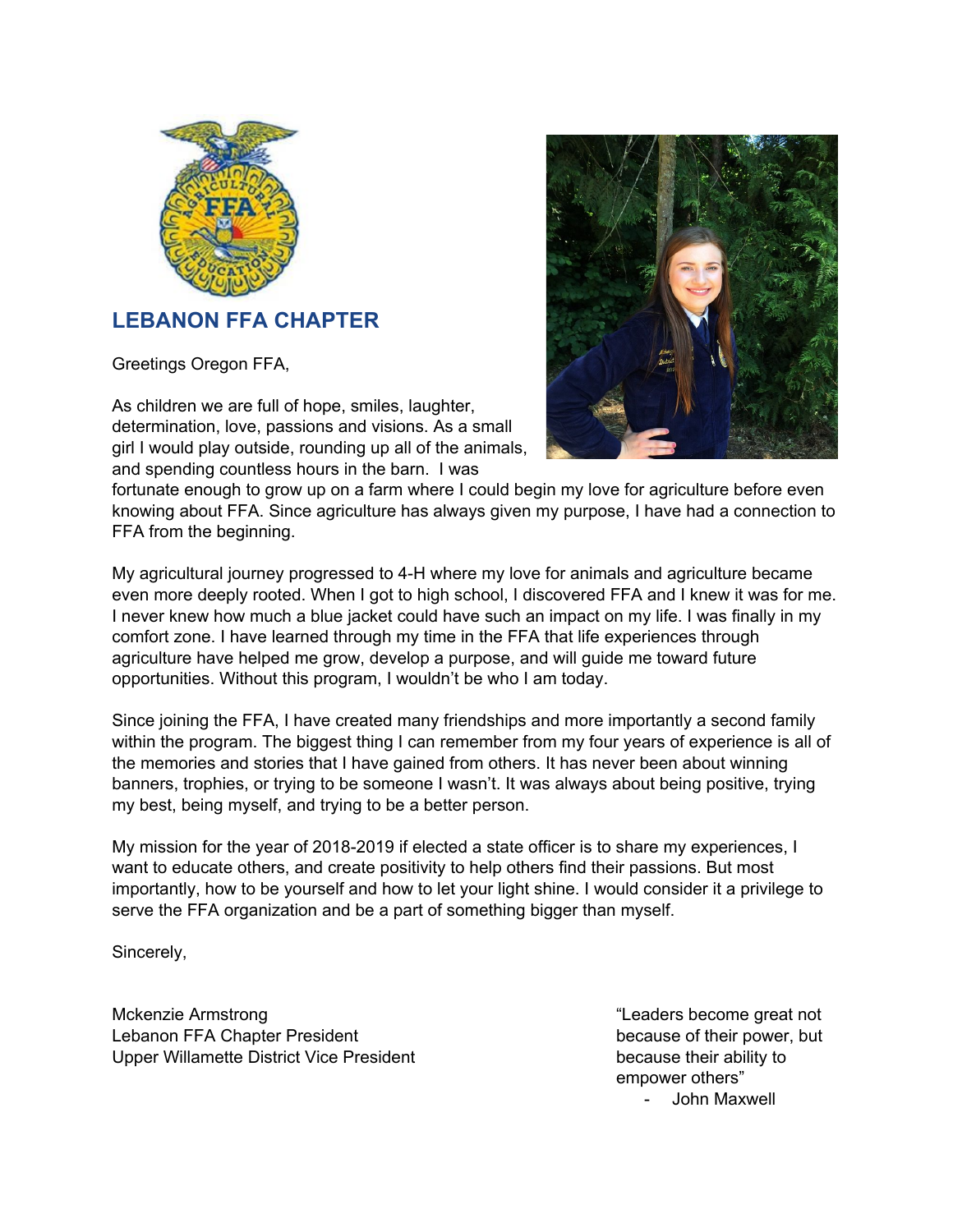

# **LEBANON FFA CHAPTER**

Greetings Oregon FFA,

As children we are full of hope, smiles, laughter, determination, love, passions and visions. As a small girl I would play outside, rounding up all of the animals, and spending countless hours in the barn. I was



fortunate enough to grow up on a farm where I could begin my love for agriculture before even knowing about FFA. Since agriculture has always given my purpose, I have had a connection to FFA from the beginning.

My agricultural journey progressed to 4-H where my love for animals and agriculture became even more deeply rooted. When I got to high school, I discovered FFA and I knew it was for me. I never knew how much a blue jacket could have such an impact on my life. I was finally in my comfort zone. I have learned through my time in the FFA that life experiences through agriculture have helped me grow, develop a purpose, and will guide me toward future opportunities. Without this program, I wouldn't be who I am today.

Since joining the FFA, I have created many friendships and more importantly a second family within the program. The biggest thing I can remember from my four years of experience is all of the memories and stories that I have gained from others. It has never been about winning banners, trophies, or trying to be someone I wasn't. It was always about being positive, trying my best, being myself, and trying to be a better person.

My mission for the year of 2018-2019 if elected a state officer is to share my experiences, I want to educate others, and create positivity to help others find their passions. But most importantly, how to be yourself and how to let your light shine. I would consider it a privilege to serve the FFA organization and be a part of something bigger than myself.

Sincerely,

Mckenzie Armstrong "Leaders become great not Lebanon FFA Chapter President because of their power, but Upper Willamette District Vice President because their ability to

empower others" - John Maxwell